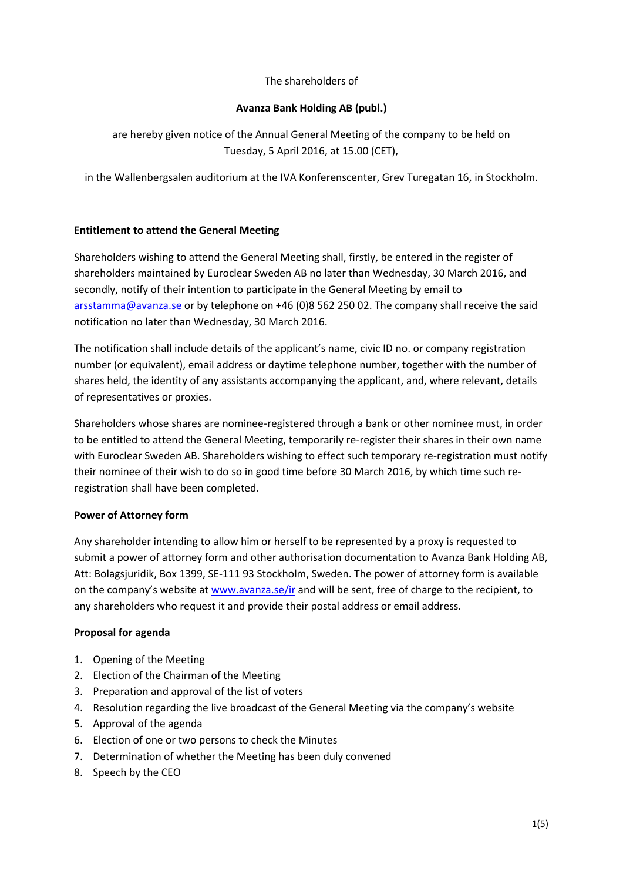### The shareholders of

# **Avanza Bank Holding AB (publ.)**

are hereby given notice of the Annual General Meeting of the company to be held on Tuesday, 5 April 2016, at 15.00 (CET),

in the Wallenbergsalen auditorium at the IVA Konferenscenter, Grev Turegatan 16, in Stockholm.

### **Entitlement to attend the General Meeting**

Shareholders wishing to attend the General Meeting shall, firstly, be entered in the register of shareholders maintained by Euroclear Sweden AB no later than Wednesday, 30 March 2016, and secondly, notify of their intention to participate in the General Meeting by email to [arsstamma@avanza.se](mailto:arsstamma@avanza.se) or by telephone on +46 (0)8 562 250 02. The company shall receive the said notification no later than Wednesday, 30 March 2016.

The notification shall include details of the applicant's name, civic ID no. or company registration number (or equivalent), email address or daytime telephone number, together with the number of shares held, the identity of any assistants accompanying the applicant, and, where relevant, details of representatives or proxies.

Shareholders whose shares are nominee-registered through a bank or other nominee must, in order to be entitled to attend the General Meeting, temporarily re-register their shares in their own name with Euroclear Sweden AB. Shareholders wishing to effect such temporary re-registration must notify their nominee of their wish to do so in good time before 30 March 2016, by which time such reregistration shall have been completed.

#### **Power of Attorney form**

Any shareholder intending to allow him or herself to be represented by a proxy is requested to submit a power of attorney form and other authorisation documentation to Avanza Bank Holding AB, Att: Bolagsjuridik, Box 1399, SE-111 93 Stockholm, Sweden. The power of attorney form is available on the company's website at [www.avanza.se/ir](http://www.avanza.se/ir) and will be sent, free of charge to the recipient, to any shareholders who request it and provide their postal address or email address.

#### **Proposal for agenda**

- 1. Opening of the Meeting
- 2. Election of the Chairman of the Meeting
- 3. Preparation and approval of the list of voters
- 4. Resolution regarding the live broadcast of the General Meeting via the company's website
- 5. Approval of the agenda
- 6. Election of one or two persons to check the Minutes
- 7. Determination of whether the Meeting has been duly convened
- 8. Speech by the CEO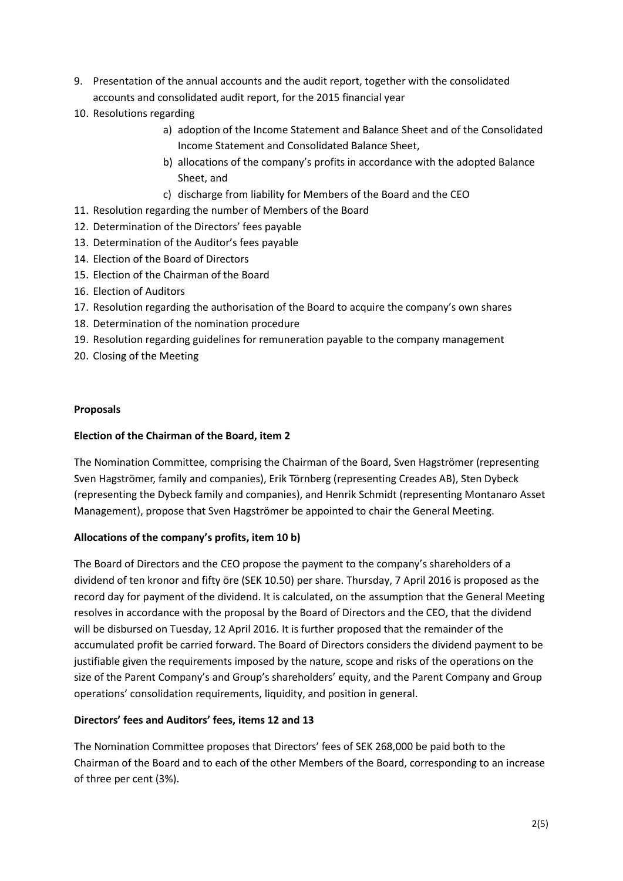- 9. Presentation of the annual accounts and the audit report, together with the consolidated accounts and consolidated audit report, for the 2015 financial year
- 10. Resolutions regarding
	- a) adoption of the Income Statement and Balance Sheet and of the Consolidated Income Statement and Consolidated Balance Sheet,
	- b) allocations of the company's profits in accordance with the adopted Balance Sheet, and
	- c) discharge from liability for Members of the Board and the CEO
- 11. Resolution regarding the number of Members of the Board
- 12. Determination of the Directors' fees payable
- 13. Determination of the Auditor's fees payable
- 14. Election of the Board of Directors
- 15. Election of the Chairman of the Board
- 16. Election of Auditors
- 17. Resolution regarding the authorisation of the Board to acquire the company's own shares
- 18. Determination of the nomination procedure
- 19. Resolution regarding guidelines for remuneration payable to the company management
- 20. Closing of the Meeting

### **Proposals**

# **Election of the Chairman of the Board, item 2**

The Nomination Committee, comprising the Chairman of the Board, Sven Hagströmer (representing Sven Hagströmer, family and companies), Erik Törnberg (representing Creades AB), Sten Dybeck (representing the Dybeck family and companies), and Henrik Schmidt (representing Montanaro Asset Management), propose that Sven Hagströmer be appointed to chair the General Meeting.

# **Allocations of the company's profits, item 10 b)**

The Board of Directors and the CEO propose the payment to the company's shareholders of a dividend of ten kronor and fifty öre (SEK 10.50) per share. Thursday, 7 April 2016 is proposed as the record day for payment of the dividend. It is calculated, on the assumption that the General Meeting resolves in accordance with the proposal by the Board of Directors and the CEO, that the dividend will be disbursed on Tuesday, 12 April 2016. It is further proposed that the remainder of the accumulated profit be carried forward. The Board of Directors considers the dividend payment to be justifiable given the requirements imposed by the nature, scope and risks of the operations on the size of the Parent Company's and Group's shareholders' equity, and the Parent Company and Group operations' consolidation requirements, liquidity, and position in general.

# **Directors' fees and Auditors' fees, items 12 and 13**

The Nomination Committee proposes that Directors' fees of SEK 268,000 be paid both to the Chairman of the Board and to each of the other Members of the Board, corresponding to an increase of three per cent (3%).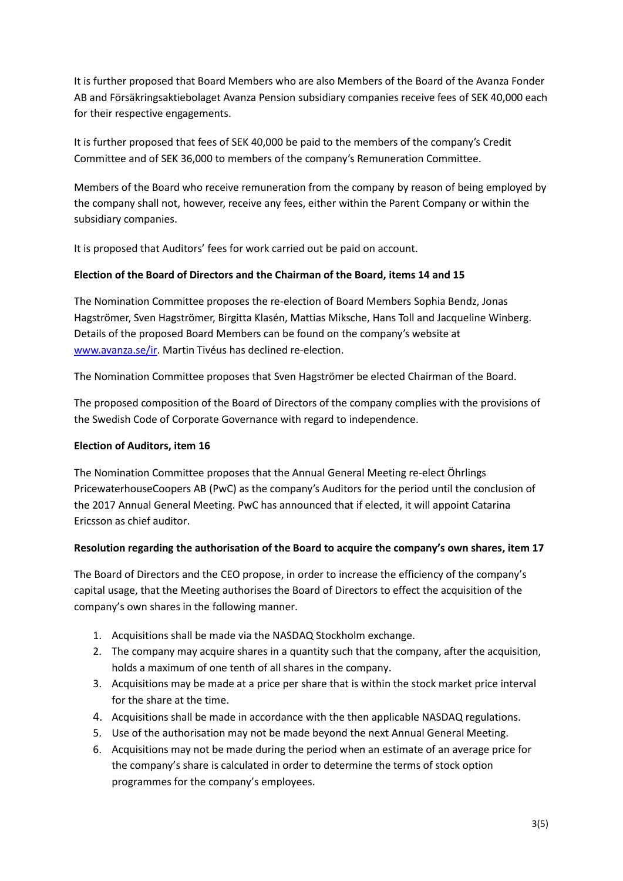It is further proposed that Board Members who are also Members of the Board of the Avanza Fonder AB and Försäkringsaktiebolaget Avanza Pension subsidiary companies receive fees of SEK 40,000 each for their respective engagements.

It is further proposed that fees of SEK 40,000 be paid to the members of the company's Credit Committee and of SEK 36,000 to members of the company's Remuneration Committee.

Members of the Board who receive remuneration from the company by reason of being employed by the company shall not, however, receive any fees, either within the Parent Company or within the subsidiary companies.

It is proposed that Auditors' fees for work carried out be paid on account.

### **Election of the Board of Directors and the Chairman of the Board, items 14 and 15**

The Nomination Committee proposes the re-election of Board Members Sophia Bendz, Jonas Hagströmer, Sven Hagströmer, Birgitta Klasén, Mattias Miksche, Hans Toll and Jacqueline Winberg. Details of the proposed Board Members can be found on the company's website at [www.avanza.se/ir.](http://www.avanza.se/ir) Martin Tivéus has declined re-election.

The Nomination Committee proposes that Sven Hagströmer be elected Chairman of the Board.

The proposed composition of the Board of Directors of the company complies with the provisions of the Swedish Code of Corporate Governance with regard to independence.

#### **Election of Auditors, item 16**

The Nomination Committee proposes that the Annual General Meeting re-elect Öhrlings PricewaterhouseCoopers AB (PwC) as the company's Auditors for the period until the conclusion of the 2017 Annual General Meeting. PwC has announced that if elected, it will appoint Catarina Ericsson as chief auditor.

# **Resolution regarding the authorisation of the Board to acquire the company's own shares, item 17**

The Board of Directors and the CEO propose, in order to increase the efficiency of the company's capital usage, that the Meeting authorises the Board of Directors to effect the acquisition of the company's own shares in the following manner.

- 1. Acquisitions shall be made via the NASDAQ Stockholm exchange.
- 2. The company may acquire shares in a quantity such that the company, after the acquisition, holds a maximum of one tenth of all shares in the company.
- 3. Acquisitions may be made at a price per share that is within the stock market price interval for the share at the time.
- 4. Acquisitions shall be made in accordance with the then applicable NASDAQ regulations.
- 5. Use of the authorisation may not be made beyond the next Annual General Meeting.
- 6. Acquisitions may not be made during the period when an estimate of an average price for the company's share is calculated in order to determine the terms of stock option programmes for the company's employees.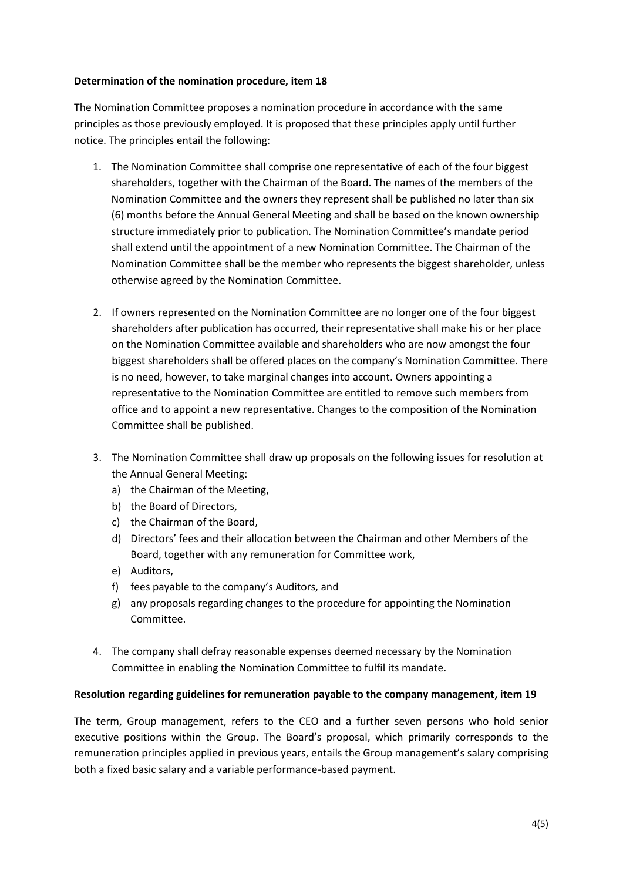### **Determination of the nomination procedure, item 18**

The Nomination Committee proposes a nomination procedure in accordance with the same principles as those previously employed. It is proposed that these principles apply until further notice. The principles entail the following:

- 1. The Nomination Committee shall comprise one representative of each of the four biggest shareholders, together with the Chairman of the Board. The names of the members of the Nomination Committee and the owners they represent shall be published no later than six (6) months before the Annual General Meeting and shall be based on the known ownership structure immediately prior to publication. The Nomination Committee's mandate period shall extend until the appointment of a new Nomination Committee. The Chairman of the Nomination Committee shall be the member who represents the biggest shareholder, unless otherwise agreed by the Nomination Committee.
- 2. If owners represented on the Nomination Committee are no longer one of the four biggest shareholders after publication has occurred, their representative shall make his or her place on the Nomination Committee available and shareholders who are now amongst the four biggest shareholders shall be offered places on the company's Nomination Committee. There is no need, however, to take marginal changes into account. Owners appointing a representative to the Nomination Committee are entitled to remove such members from office and to appoint a new representative. Changes to the composition of the Nomination Committee shall be published.
- 3. The Nomination Committee shall draw up proposals on the following issues for resolution at the Annual General Meeting:
	- a) the Chairman of the Meeting,
	- b) the Board of Directors,
	- c) the Chairman of the Board,
	- d) Directors' fees and their allocation between the Chairman and other Members of the Board, together with any remuneration for Committee work,
	- e) Auditors,
	- f) fees payable to the company's Auditors, and
	- g) any proposals regarding changes to the procedure for appointing the Nomination Committee.
- 4. The company shall defray reasonable expenses deemed necessary by the Nomination Committee in enabling the Nomination Committee to fulfil its mandate.

# **Resolution regarding guidelines for remuneration payable to the company management, item 19**

The term, Group management, refers to the CEO and a further seven persons who hold senior executive positions within the Group. The Board's proposal, which primarily corresponds to the remuneration principles applied in previous years, entails the Group management's salary comprising both a fixed basic salary and a variable performance-based payment.